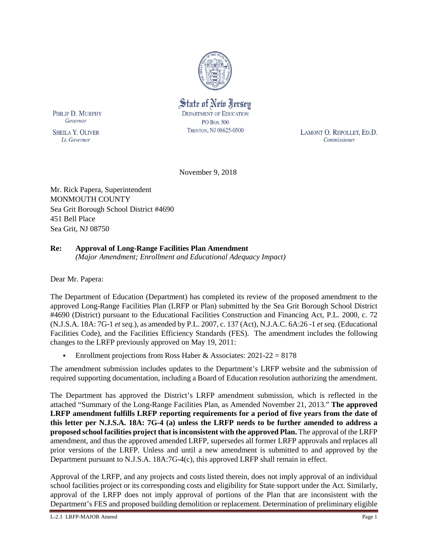

State of New Jersey **DEPARTMENT OF EDUCATION PO Box 500** TRENTON, NJ 08625-0500

PHILIP D. MURPHY Governor

**SHEILA Y. OLIVER** Lt. Governor

LAMONT O. REPOLLET, ED.D. Commissioner

November 9, 2018

Mr. Rick Papera, Superintendent MONMOUTH COUNTY Sea Grit Borough School District #4690 451 Bell Place Sea Grit, NJ 08750

# **Re: Approval of Long-Range Facilities Plan Amendment**

*(Major Amendment; Enrollment and Educational Adequacy Impact)*

Dear Mr. Papera:

The Department of Education (Department) has completed its review of the proposed amendment to the approved Long-Range Facilities Plan (LRFP or Plan) submitted by the Sea Grit Borough School District #4690 (District) pursuant to the Educational Facilities Construction and Financing Act, P.L. 2000, c. 72 (N.J.S.A. 18A: 7G-1 *et seq.*), as amended by P.L. 2007, c. 137 (Act), N.J.A.C. 6A:26 -1 *et seq.* (Educational Facilities Code), and the Facilities Efficiency Standards (FES). The amendment includes the following changes to the LRFP previously approved on May 19, 2011:

Enrollment projections from Ross Haber & Associates:  $2021-22 = 8178$ 

The amendment submission includes updates to the Department's LRFP website and the submission of required supporting documentation, including a Board of Education resolution authorizing the amendment.

The Department has approved the District's LRFP amendment submission, which is reflected in the attached "Summary of the Long-Range Facilities Plan, as Amended November 21, 2013." **The approved LRFP amendment fulfills LRFP reporting requirements for a period of five years from the date of this letter per N.J.S.A. 18A: 7G-4 (a) unless the LRFP needs to be further amended to address a proposed school facilities project that is inconsistent with the approved Plan.** The approval of the LRFP amendment, and thus the approved amended LRFP, supersedes all former LRFP approvals and replaces all prior versions of the LRFP. Unless and until a new amendment is submitted to and approved by the Department pursuant to N.J.S.A. 18A:7G-4(c), this approved LRFP shall remain in effect.

Approval of the LRFP, and any projects and costs listed therein, does not imply approval of an individual school facilities project or its corresponding costs and eligibility for State support under the Act. Similarly, approval of the LRFP does not imply approval of portions of the Plan that are inconsistent with the Department's FES and proposed building demolition or replacement. Determination of preliminary eligible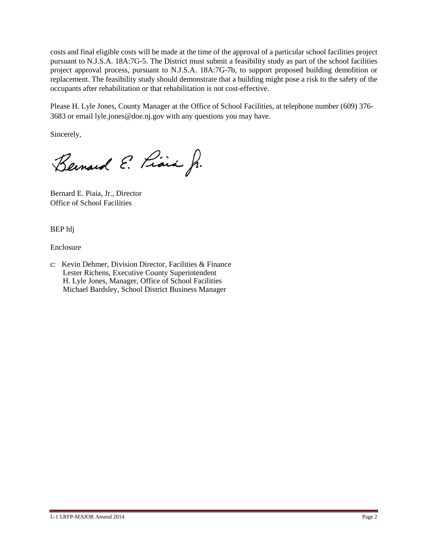costs and final eligible costs will be made at the time of the approval of a particular school facilities project pursuant to N.J.S.A. 18A:7G-5. The District must submit a feasibility study as part of the school facilities project approval process, pursuant to N.J.S.A. 18A:7G-7b, to support proposed building demolition or replacement. The feasibility study should demonstrate that a building might pose a risk to the safety of the occupants after rehabilitation or that rehabilitation is not cost-effective.

Please H. Lyle Jones, County Manager at the Office of School Facilities, at telephone number (609) 376- 3683 or email lyle.jones@doe.nj.gov with any questions you may have.

Sincerely,

Bernard E. Piara Jr.

Bernard E. Piaia, Jr., Director Office of School Facilities

BEP hlj

Enclosure

c: Kevin Dehmer, Division Director, Facilities & Finance Lester Richens, Executive County Superintendent H. Lyle Jones, Manager, Office of School Facilities Michael Bardsley, School District Business Manager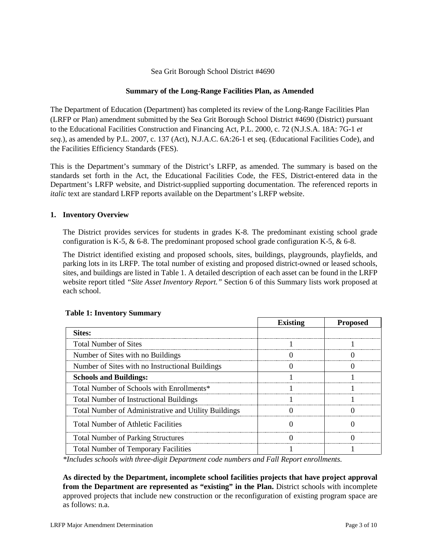# Sea Grit Borough School District #4690

# **Summary of the Long-Range Facilities Plan, as Amended**

The Department of Education (Department) has completed its review of the Long-Range Facilities Plan (LRFP or Plan) amendment submitted by the Sea Grit Borough School District #4690 (District) pursuant to the Educational Facilities Construction and Financing Act, P.L. 2000, c. 72 (N.J.S.A. 18A: 7G-1 *et seq.*), as amended by P.L. 2007, c. 137 (Act), N.J.A.C. 6A:26-1 et seq. (Educational Facilities Code), and the Facilities Efficiency Standards (FES).

This is the Department's summary of the District's LRFP, as amended. The summary is based on the standards set forth in the Act, the Educational Facilities Code, the FES, District-entered data in the Department's LRFP website, and District-supplied supporting documentation. The referenced reports in *italic* text are standard LRFP reports available on the Department's LRFP website.

### **1. Inventory Overview**

The District provides services for students in grades K-8. The predominant existing school grade configuration is K-5,  $\&$  6-8. The predominant proposed school grade configuration K-5,  $\&$  6-8.

The District identified existing and proposed schools, sites, buildings, playgrounds, playfields, and parking lots in its LRFP. The total number of existing and proposed district-owned or leased schools, sites, and buildings are listed in Table 1. A detailed description of each asset can be found in the LRFP website report titled *"Site Asset Inventory Report."* Section 6 of this Summary lists work proposed at each school.

|                                                      | <b>Existing</b> | <b>Proposed</b> |
|------------------------------------------------------|-----------------|-----------------|
| Sites:                                               |                 |                 |
| <b>Total Number of Sites</b>                         |                 |                 |
| Number of Sites with no Buildings                    |                 |                 |
| Number of Sites with no Instructional Buildings      |                 |                 |
| <b>Schools and Buildings:</b>                        |                 |                 |
| Total Number of Schools with Enrollments*            |                 |                 |
| <b>Total Number of Instructional Buildings</b>       |                 |                 |
| Total Number of Administrative and Utility Buildings |                 |                 |
| <b>Total Number of Athletic Facilities</b>           |                 |                 |
| <b>Total Number of Parking Structures</b>            |                 |                 |
| <b>Total Number of Temporary Facilities</b>          |                 |                 |

## **Table 1: Inventory Summary**

*\*Includes schools with three-digit Department code numbers and Fall Report enrollments.*

**As directed by the Department, incomplete school facilities projects that have project approval from the Department are represented as "existing" in the Plan.** District schools with incomplete approved projects that include new construction or the reconfiguration of existing program space are as follows: n.a.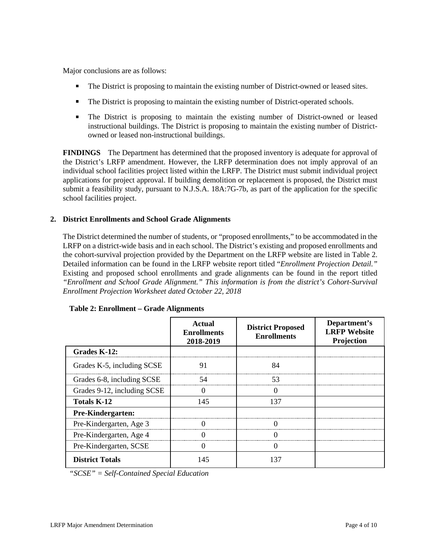Major conclusions are as follows:

- The District is proposing to maintain the existing number of District-owned or leased sites.
- The District is proposing to maintain the existing number of District-operated schools.
- The District is proposing to maintain the existing number of District-owned or leased instructional buildings. The District is proposing to maintain the existing number of Districtowned or leased non-instructional buildings.

**FINDINGS** The Department has determined that the proposed inventory is adequate for approval of the District's LRFP amendment. However, the LRFP determination does not imply approval of an individual school facilities project listed within the LRFP. The District must submit individual project applications for project approval. If building demolition or replacement is proposed, the District must submit a feasibility study, pursuant to N.J.S.A. 18A:7G-7b, as part of the application for the specific school facilities project.

# **2. District Enrollments and School Grade Alignments**

The District determined the number of students, or "proposed enrollments," to be accommodated in the LRFP on a district-wide basis and in each school. The District's existing and proposed enrollments and the cohort-survival projection provided by the Department on the LRFP website are listed in Table 2. Detailed information can be found in the LRFP website report titled "*Enrollment Projection Detail."*  Existing and proposed school enrollments and grade alignments can be found in the report titled *"Enrollment and School Grade Alignment." This information is from the district's Cohort-Survival Enrollment Projection Worksheet dated October 22, 2018*

|                             | Actual<br><b>Enrollments</b><br>2018-2019 | <b>District Proposed</b><br><b>Enrollments</b> | Department's<br><b>LRFP</b> Website<br>Projection |
|-----------------------------|-------------------------------------------|------------------------------------------------|---------------------------------------------------|
| Grades K-12:                |                                           |                                                |                                                   |
| Grades K-5, including SCSE  | 91                                        | 84                                             |                                                   |
| Grades 6-8, including SCSE  | 54                                        | 53                                             |                                                   |
| Grades 9-12, including SCSE |                                           |                                                |                                                   |
| <b>Totals K-12</b>          | 145                                       | 137                                            |                                                   |
| Pre-Kindergarten:           |                                           |                                                |                                                   |
| Pre-Kindergarten, Age 3     |                                           |                                                |                                                   |
| Pre-Kindergarten, Age 4     |                                           |                                                |                                                   |
| Pre-Kindergarten, SCSE      |                                           |                                                |                                                   |
| <b>District Totals</b>      | 145                                       | -37                                            |                                                   |

#### **Table 2: Enrollment – Grade Alignments**

*"SCSE" = Self-Contained Special Education*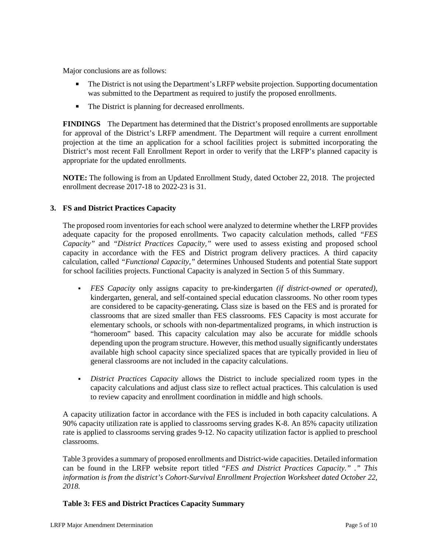Major conclusions are as follows:

- The District is not using the Department's LRFP website projection. Supporting documentation was submitted to the Department as required to justify the proposed enrollments.
- The District is planning for decreased enrollments.

**FINDINGS** The Department has determined that the District's proposed enrollments are supportable for approval of the District's LRFP amendment. The Department will require a current enrollment projection at the time an application for a school facilities project is submitted incorporating the District's most recent Fall Enrollment Report in order to verify that the LRFP's planned capacity is appropriate for the updated enrollments.

**NOTE:** The following is from an Updated Enrollment Study, dated October 22, 2018. The projected enrollment decrease 2017-18 to 2022-23 is 31.

# **3. FS and District Practices Capacity**

The proposed room inventories for each school were analyzed to determine whether the LRFP provides adequate capacity for the proposed enrollments. Two capacity calculation methods, called *"FES Capacity"* and *"District Practices Capacity,"* were used to assess existing and proposed school capacity in accordance with the FES and District program delivery practices. A third capacity calculation, called *"Functional Capacity,"* determines Unhoused Students and potential State support for school facilities projects. Functional Capacity is analyzed in Section 5 of this Summary.

- *FES Capacity* only assigns capacity to pre-kindergarten *(if district-owned or operated),* kindergarten, general, and self-contained special education classrooms. No other room types are considered to be capacity-generating**.** Class size is based on the FES and is prorated for classrooms that are sized smaller than FES classrooms. FES Capacity is most accurate for elementary schools, or schools with non-departmentalized programs, in which instruction is "homeroom" based. This capacity calculation may also be accurate for middle schools depending upon the program structure. However, this method usually significantly understates available high school capacity since specialized spaces that are typically provided in lieu of general classrooms are not included in the capacity calculations.
- *District Practices Capacity* allows the District to include specialized room types in the capacity calculations and adjust class size to reflect actual practices. This calculation is used to review capacity and enrollment coordination in middle and high schools.

A capacity utilization factor in accordance with the FES is included in both capacity calculations. A 90% capacity utilization rate is applied to classrooms serving grades K-8. An 85% capacity utilization rate is applied to classrooms serving grades 9-12. No capacity utilization factor is applied to preschool classrooms.

Table 3 provides a summary of proposed enrollments and District-wide capacities. Detailed information can be found in the LRFP website report titled "*FES and District Practices Capacity." ." This information is from the district's Cohort-Survival Enrollment Projection Worksheet dated October 22, 2018.*

### **Table 3: FES and District Practices Capacity Summary**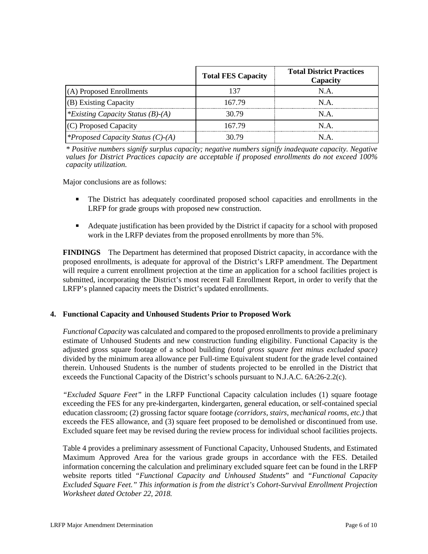|                                          | <b>Total FES Capacity</b> | <b>Total District Practices</b><br>Capacity |
|------------------------------------------|---------------------------|---------------------------------------------|
| (A) Proposed Enrollments                 | 137                       | N.A.                                        |
| (B) Existing Capacity                    | 167 79                    | N A                                         |
| *Existing Capacity Status $(B)$ - $(A)$  | 30.79                     | N.A.                                        |
| (C) Proposed Capacity                    | 167 79                    | N A                                         |
| <i>*Proposed Capacity Status (C)-(A)</i> | 30.79                     | NА                                          |

*\* Positive numbers signify surplus capacity; negative numbers signify inadequate capacity. Negative values for District Practices capacity are acceptable if proposed enrollments do not exceed 100% capacity utilization.*

Major conclusions are as follows:

- The District has adequately coordinated proposed school capacities and enrollments in the LRFP for grade groups with proposed new construction.
- Adequate justification has been provided by the District if capacity for a school with proposed work in the LRFP deviates from the proposed enrollments by more than 5%.

**FINDINGS** The Department has determined that proposed District capacity, in accordance with the proposed enrollments, is adequate for approval of the District's LRFP amendment. The Department will require a current enrollment projection at the time an application for a school facilities project is submitted, incorporating the District's most recent Fall Enrollment Report, in order to verify that the LRFP's planned capacity meets the District's updated enrollments.

### **4. Functional Capacity and Unhoused Students Prior to Proposed Work**

*Functional Capacity* was calculated and compared to the proposed enrollments to provide a preliminary estimate of Unhoused Students and new construction funding eligibility. Functional Capacity is the adjusted gross square footage of a school building *(total gross square feet minus excluded space)*  divided by the minimum area allowance per Full-time Equivalent student for the grade level contained therein. Unhoused Students is the number of students projected to be enrolled in the District that exceeds the Functional Capacity of the District's schools pursuant to N.J.A.C. 6A:26-2.2(c).

*"Excluded Square Feet"* in the LRFP Functional Capacity calculation includes (1) square footage exceeding the FES for any pre-kindergarten, kindergarten, general education, or self-contained special education classroom; (2) grossing factor square footage *(corridors, stairs, mechanical rooms, etc.)* that exceeds the FES allowance, and (3) square feet proposed to be demolished or discontinued from use. Excluded square feet may be revised during the review process for individual school facilities projects.

Table 4 provides a preliminary assessment of Functional Capacity, Unhoused Students, and Estimated Maximum Approved Area for the various grade groups in accordance with the FES. Detailed information concerning the calculation and preliminary excluded square feet can be found in the LRFP website reports titled *"Functional Capacity and Unhoused Students*" and *"Functional Capacity Excluded Square Feet." This information is from the district's Cohort-Survival Enrollment Projection Worksheet dated October 22, 2018.*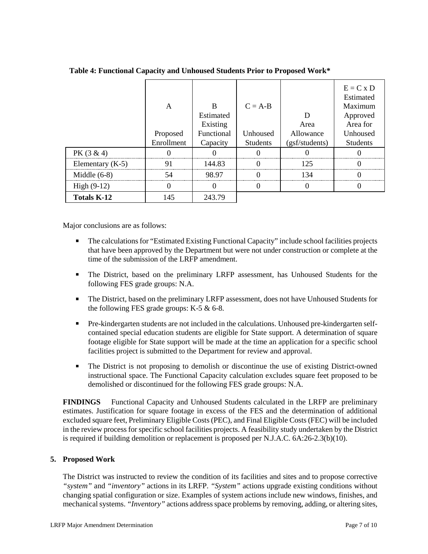|                    | А<br>Proposed<br>Enrollment | R<br>Estimated<br>Existing<br>Functional<br>Capacity | $C = A-B$<br>Unhoused<br><b>Students</b> | Area<br>Allowance<br>(gsf/students) | $E = C x D$<br>Estimated<br>Maximum<br>Approved<br>Area for<br>Unhoused<br><b>Students</b> |
|--------------------|-----------------------------|------------------------------------------------------|------------------------------------------|-------------------------------------|--------------------------------------------------------------------------------------------|
| PK $(3 \& 4)$      |                             |                                                      |                                          |                                     |                                                                                            |
| Elementary $(K-5)$ |                             | 144.83                                               |                                          | 125                                 |                                                                                            |
| Middle $(6-8)$     |                             | 98.97                                                |                                          | 134                                 |                                                                                            |
| High $(9-12)$      |                             |                                                      |                                          |                                     |                                                                                            |
| <b>Totals K-12</b> | 145                         | 243.79                                               |                                          |                                     |                                                                                            |

**Table 4: Functional Capacity and Unhoused Students Prior to Proposed Work\***

Major conclusions are as follows:

- The calculations for "Estimated Existing Functional Capacity" include school facilities projects that have been approved by the Department but were not under construction or complete at the time of the submission of the LRFP amendment.
- The District, based on the preliminary LRFP assessment, has Unhoused Students for the following FES grade groups: N.A.
- The District, based on the preliminary LRFP assessment, does not have Unhoused Students for the following FES grade groups:  $K-5 \& 6-8$ .
- Pre-kindergarten students are not included in the calculations. Unhoused pre-kindergarten selfcontained special education students are eligible for State support. A determination of square footage eligible for State support will be made at the time an application for a specific school facilities project is submitted to the Department for review and approval.
- The District is not proposing to demolish or discontinue the use of existing District-owned instructional space. The Functional Capacity calculation excludes square feet proposed to be demolished or discontinued for the following FES grade groups: N.A.

**FINDINGS** Functional Capacity and Unhoused Students calculated in the LRFP are preliminary estimates. Justification for square footage in excess of the FES and the determination of additional excluded square feet, Preliminary Eligible Costs (PEC), and Final Eligible Costs (FEC) will be included in the review process for specific school facilities projects. A feasibility study undertaken by the District is required if building demolition or replacement is proposed per N.J.A.C. 6A:26-2.3(b)(10).

### **5. Proposed Work**

The District was instructed to review the condition of its facilities and sites and to propose corrective *"system"* and *"inventory"* actions in its LRFP. *"System"* actions upgrade existing conditions without changing spatial configuration or size. Examples of system actions include new windows, finishes, and mechanical systems. *"Inventory"* actions address space problems by removing, adding, or altering sites,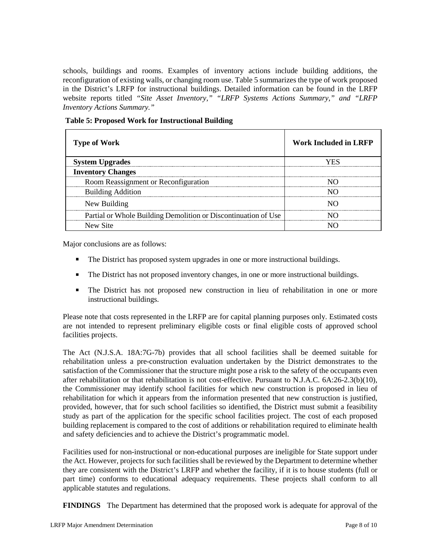schools, buildings and rooms. Examples of inventory actions include building additions, the reconfiguration of existing walls, or changing room use. Table 5 summarizes the type of work proposed in the District's LRFP for instructional buildings. Detailed information can be found in the LRFP website reports titled *"Site Asset Inventory," "LRFP Systems Actions Summary," and "LRFP Inventory Actions Summary."* 

| <b>Type of Work</b>                                            | <b>Work Included in LRFP</b> |
|----------------------------------------------------------------|------------------------------|
| <b>System Upgrades</b>                                         | 7FS                          |
| <b>Inventory Changes</b>                                       |                              |
| Room Reassignment or Reconfiguration                           |                              |
| <b>Building Addition</b>                                       |                              |
| New Building                                                   |                              |
| Partial or Whole Building Demolition or Discontinuation of Use |                              |
| New Site                                                       |                              |

**Table 5: Proposed Work for Instructional Building**

Major conclusions are as follows:

- The District has proposed system upgrades in one or more instructional buildings.
- The District has not proposed inventory changes, in one or more instructional buildings.
- The District has not proposed new construction in lieu of rehabilitation in one or more instructional buildings.

Please note that costs represented in the LRFP are for capital planning purposes only. Estimated costs are not intended to represent preliminary eligible costs or final eligible costs of approved school facilities projects.

The Act (N.J.S.A. 18A:7G-7b) provides that all school facilities shall be deemed suitable for rehabilitation unless a pre-construction evaluation undertaken by the District demonstrates to the satisfaction of the Commissioner that the structure might pose a risk to the safety of the occupants even after rehabilitation or that rehabilitation is not cost-effective. Pursuant to N.J.A.C. 6A:26-2.3(b)(10), the Commissioner may identify school facilities for which new construction is proposed in lieu of rehabilitation for which it appears from the information presented that new construction is justified, provided, however, that for such school facilities so identified, the District must submit a feasibility study as part of the application for the specific school facilities project. The cost of each proposed building replacement is compared to the cost of additions or rehabilitation required to eliminate health and safety deficiencies and to achieve the District's programmatic model.

Facilities used for non-instructional or non-educational purposes are ineligible for State support under the Act. However, projects for such facilities shall be reviewed by the Department to determine whether they are consistent with the District's LRFP and whether the facility, if it is to house students (full or part time) conforms to educational adequacy requirements. These projects shall conform to all applicable statutes and regulations.

**FINDINGS** The Department has determined that the proposed work is adequate for approval of the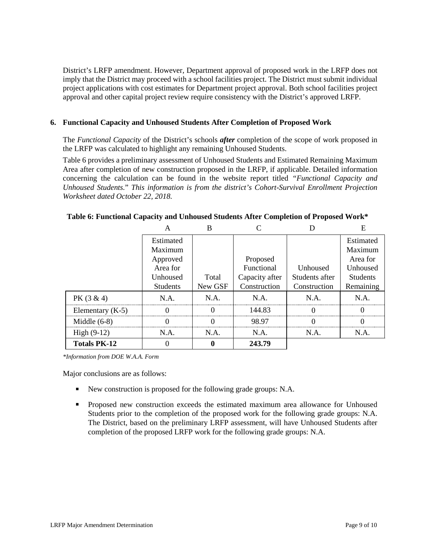District's LRFP amendment. However, Department approval of proposed work in the LRFP does not imply that the District may proceed with a school facilities project. The District must submit individual project applications with cost estimates for Department project approval. Both school facilities project approval and other capital project review require consistency with the District's approved LRFP.

#### **6. Functional Capacity and Unhoused Students After Completion of Proposed Work**

The *Functional Capacity* of the District's schools *after* completion of the scope of work proposed in the LRFP was calculated to highlight any remaining Unhoused Students.

Table 6 provides a preliminary assessment of Unhoused Students and Estimated Remaining Maximum Area after completion of new construction proposed in the LRFP, if applicable. Detailed information concerning the calculation can be found in the website report titled *"Functional Capacity and Unhoused Students.*" *This information is from the district's Cohort-Survival Enrollment Projection Worksheet dated October 22, 2018.*

|                     | Estimated       |         |                |                | Estimated       |
|---------------------|-----------------|---------|----------------|----------------|-----------------|
|                     | Maximum         |         |                |                | Maximum         |
|                     | Approved        |         | Proposed       |                | Area for        |
|                     | Area for        |         | Functional     | Unhoused       | Unhoused        |
|                     | Unhoused        | Total   | Capacity after | Students after | <b>Students</b> |
|                     | <b>Students</b> | New GSF | Construction   | Construction   | Remaining       |
| $PK(3 \& 4)$        | N.A.            | NA.     | $NA$ .         | N.A.           | $NA$ .          |
| Elementary $(K-5)$  |                 |         | 144.83         |                |                 |
| Middle $(6-8)$      |                 |         | 98.97          |                |                 |
| $High (9-12)$       | N.A.            | N.A.    | N.A.           | N.A.           | N.A.            |
| <b>Totals PK-12</b> |                 |         | 243.79         |                |                 |

**Table 6: Functional Capacity and Unhoused Students After Completion of Proposed Work\***

*\*Information from DOE W.A.A. Form*

Major conclusions are as follows:

- New construction is proposed for the following grade groups: N.A.
- Proposed new construction exceeds the estimated maximum area allowance for Unhoused Students prior to the completion of the proposed work for the following grade groups: N.A. The District, based on the preliminary LRFP assessment, will have Unhoused Students after completion of the proposed LRFP work for the following grade groups: N.A.